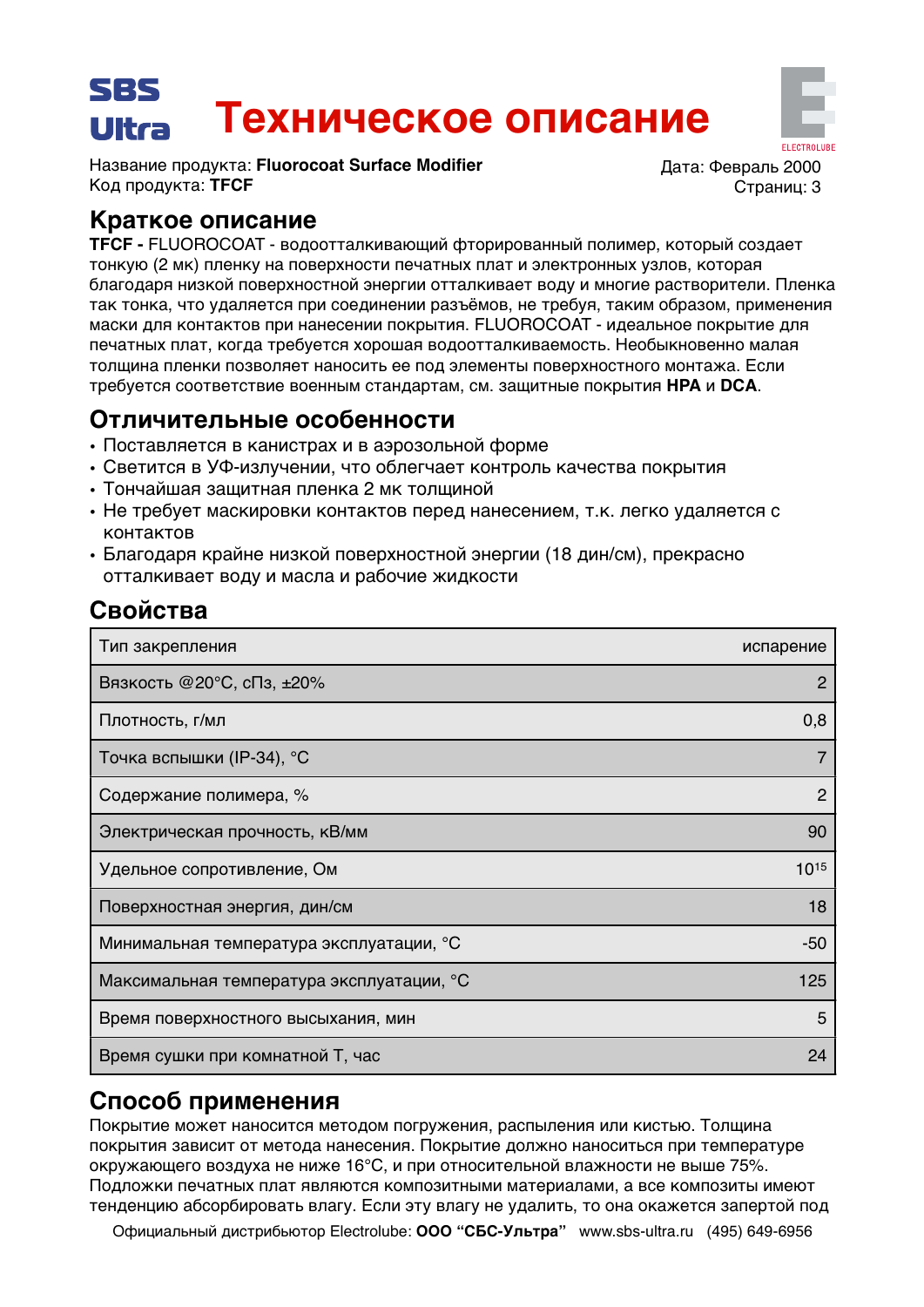## SBS Техническое описание Ultra

Название продукта: Fluorocoat Surface Modifier Код продукта: ТЕСЕ

Лата: Февраль 2000 Страниц: 3

# Краткое описание

TFCF - FLUOROCOAT - водоотталкивающий фторированный полимер, который создает тонкую (2 мк) пленку на поверхности печатных плат и электронных узлов, которая благодаря низкой поверхностной энергии отталкивает воду и многие растворители. Пленка так тонка, что удаляется при соединении разъёмов, не требуя, таким образом, применения маски для контактов при нанесении покрытия. FLUOROCOAT - идеальное покрытие для печатных плат, когда требуется хорошая водоотталкиваемость. Необыкновенно малая толщина пленки позволяет наносить ее под элементы поверхностного монтажа. Если требуется соответствие военным стандартам, см. защитные покрытия НРА и DCA.

# Отличительные особенности

- Поставляется в канистрах и в аэрозольной форме
- Светится в УФ-излучении, что облегчает контроль качества покрытия
- Тончайшая защитная пленка 2 мк толщиной
- Не требует маскировки контактов перед нанесением, т.к. легко удаляется с контактов
- Благодаря крайне низкой поверхностной энергии (18 дин/см), прекрасно отталкивает воду и масла и рабочие жидкости

# Свойства

| Тип закрепления                           | испарение |
|-------------------------------------------|-----------|
| Вязкость @20°С, сПз, ±20%                 | 2         |
| Плотность, г/мл                           | 0,8       |
| Точка вспышки (IP-34), °С                 |           |
| Содержание полимера, %                    | 2         |
| Электрическая прочность, кВ/мм            | 90        |
| Удельное сопротивление, Ом                | 1015      |
| Поверхностная энергия, дин/см             | 18        |
| Минимальная температура эксплуатации, °С  | -50       |
| Максимальная температура эксплуатации, °С | 125       |
| Время поверхностного высыхания, мин       | 5         |
| Время сушки при комнатной Т, час          | 24        |

# Способ применения

Покрытие может наносится методом погружения, распыления или кистью. Толщина покрытия зависит от метода нанесения. Покрытие должно наноситься при температуре окружающего воздуха не ниже 16°С, и при относительной влажности не выше 75%. Подложки печатных плат являются композитными материалами, а все композиты имеют тенденцию абсорбировать влагу. Если эту влагу не удалить, то она окажется запертой под

Официальный дистрибьютор Electrolube: ООО "СБС-Ультра" www.sbs-ultra.ru (495) 649-6956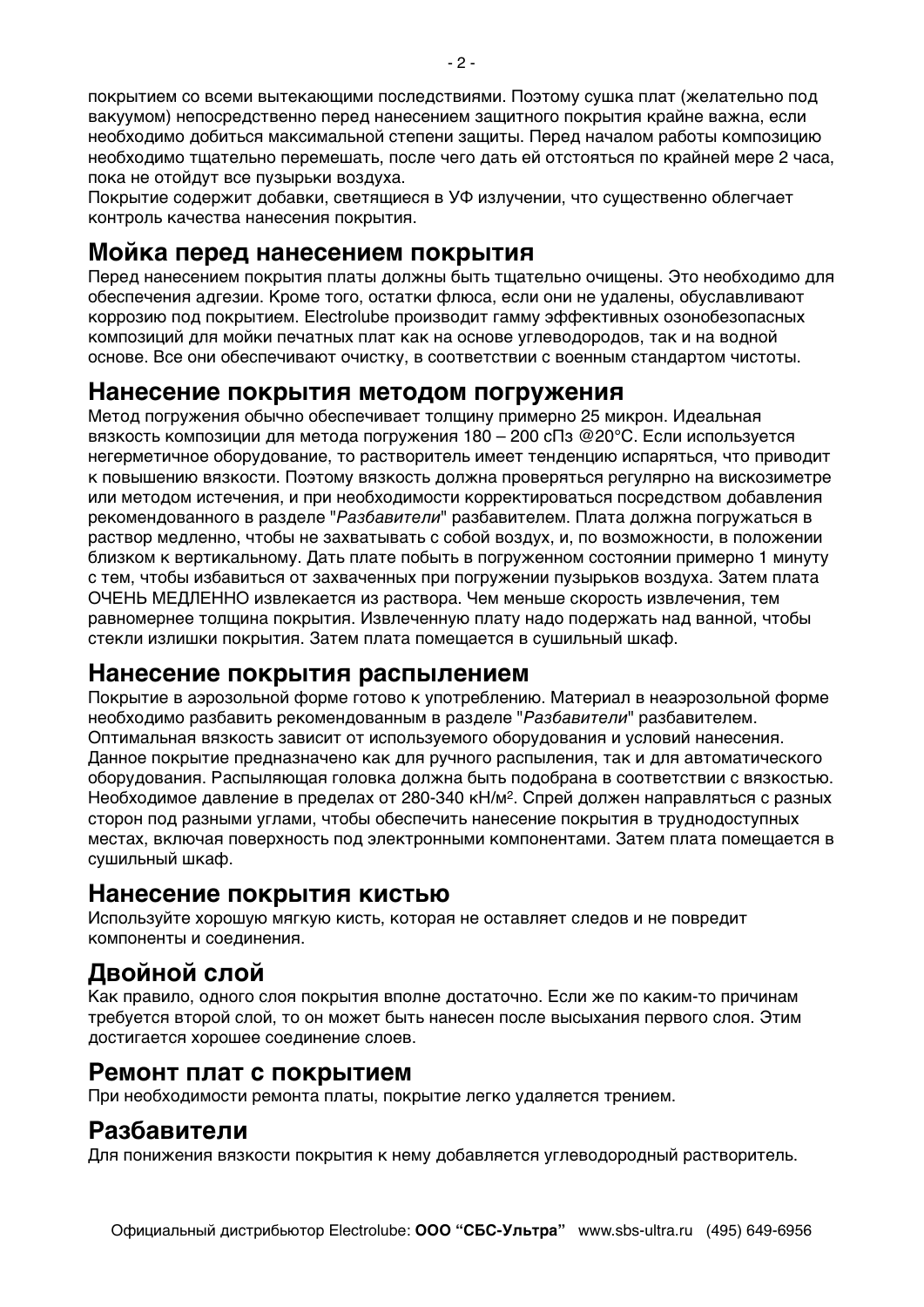покрытием со всеми вытекающими последствиями. Поэтому сушка плат (желательно под вакуумом) непосредственно перед нанесением защитного покрытия крайне важна, если необходимо добиться максимальной степени защиты. Перед началом работы композицию необходимо тщательно перемешать, после чего дать ей отстояться по крайней мере 2 часа, пока не отойдут все пузырьки воздуха.

Покрытие содержит добавки, светящиеся в УФ излучении, что существенно облегчает контроль качества нанесения покрытия.

### Мойка перед нанесением покрытия

Перед нанесением покрытия платы должны быть тщательно очищены. Это необходимо для обеспечения адгезии. Кроме того, остатки флюса, если они не удалены, обуславливают коррозию под покрытием. Electrolube производит гамму эффективных озонобезопасных композиций для мойки печатных плат как на основе углеводородов, так и на водной основе. Все они обеспечивают очистку, в соответствии с военным стандартом чистоты.

#### Нанесение покрытия методом погружения

Метод погружения обычно обеспечивает толщину примерно 25 микрон. Идеальная вязкость композиции для метода погружения 180 - 200 сПз @20°С. Если используется негерметичное оборудование, то растворитель имеет тенденцию испаряться, что приводит к повышению вязкости. Поэтому вязкость должна проверяться регулярно на вискозиметре или методом истечения, и при необходимости корректироваться посредством добавления рекомендованного в разделе "Разбавители" разбавителем. Плата должна погружаться в раствор медленно, чтобы не захватывать с собой воздух, и, по возможности, в положении близком к вертикальному. Дать плате побыть в погруженном состоянии примерно 1 минуту с тем, чтобы избавиться от захваченных при погружении пузырьков воздуха. Затем плата ОЧЕНЬ МЕДЛЕННО извлекается из раствора. Чем меньше скорость извлечения, тем равномернее толщина покрытия. Извлеченную плату надо подержать над ванной, чтобы стекли излишки покрытия. Затем плата помещается в сушильный шкаф.

#### Нанесение покрытия распылением

Покрытие в аэрозольной форме готово к употреблению. Материал в неаэрозольной форме необходимо разбавить рекомендованным в разделе "Разбавители" разбавителем. Оптимальная вязкость зависит от используемого оборудования и условий нанесения. Данное покрытие предназначено как для ручного распыления, так и для автоматического оборудования. Распыляющая головка должна быть подобрана в соответствии с вязкостью. Необходимое давление в пределах от 280-340 кН/м<sup>2</sup>. Спрей должен направляться с разных сторон под разными углами, чтобы обеспечить нанесение покрытия в труднодоступных местах, включая поверхность под электронными компонентами. Затем плата помещается в сушильный шкаф.

#### Нанесение покрытия кистью

Используйте хорошую мягкую кисть, которая не оставляет следов и не повредит компоненты и соединения.

# Двойной слой

Как правило, одного слоя покрытия вполне достаточно. Если же по каким-то причинам требуется второй слой, то он может быть нанесен после высыхания первого слоя. Этим достигается хорошее соединение слоев.

### Ремонт плат с покрытием

При необходимости ремонта платы, покрытие легко удаляется трением.

# Разбавители

Для понижения вязкости покрытия к нему добавляется углеводородный растворитель.